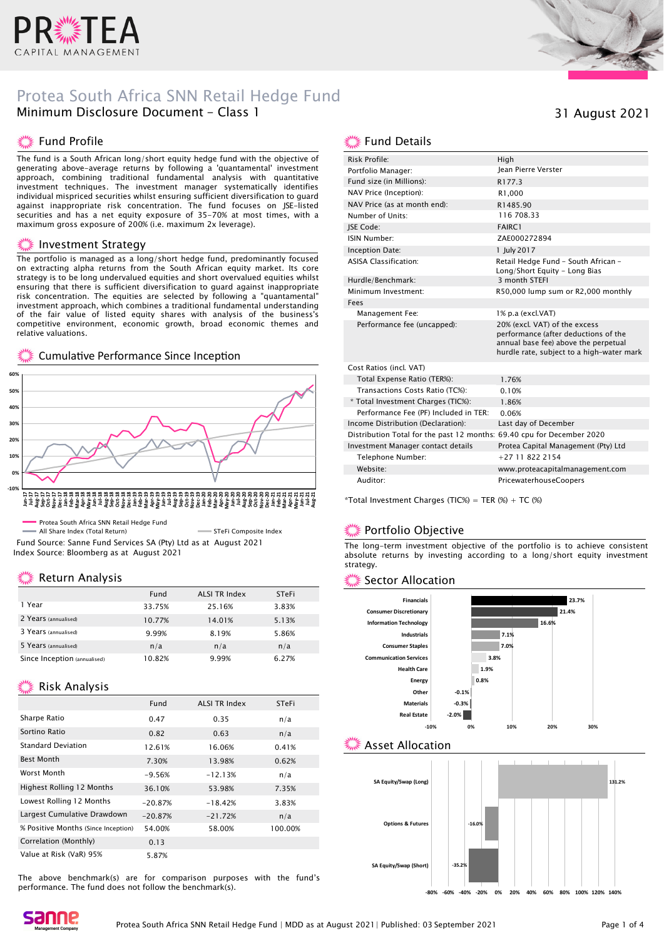

# Protea South Africa SNN Retail Hedge Fund Minimum Disclosure Document - Class 1

### Fund Profile

The fund is a South African long/short equity hedge fund with the objective of generating above-average returns by following a 'quantamental' investment approach, combining traditional fundamental analysis with quantitative investment techniques. The investment manager systematically identifies individual mispriced securities whilst ensuring sufficient diversification to guard against inappropriate risk concentration. The fund focuses on JSE-listed securities and has a net equity exposure of 35-70% at most times, with a maximum gross exposure of 200% (i.e. maximum 2x leverage).

#### **Investment Strategy**

The portfolio is managed as a long/short hedge fund, predominantly focused on extracting alpha returns from the South African equity market. Its core strategy is to be long undervalued equities and short overvalued equities whilst ensuring that there is sufficient diversification to guard against inappropriate risk concentration. The equities are selected by following a "quantamental" investment approach, which combines a traditional fundamental understanding of the fair value of listed equity shares with analysis of the business's competitive environment, economic growth, broad economic themes and relative valuations.

#### Cumulative Performance Since Inception



All Share Index (Total Return) STEFI Composite Index Fund Source: Sanne Fund Services SA (Pty) Ltd as at August 2021 Index Source: Bloomberg as at August 2021

### Return Analysis

|                              | Fund   | <b>ALSI TR Index</b> | <b>STeFi</b> |
|------------------------------|--------|----------------------|--------------|
| 1 Year                       | 33.75% | 25.16%               | 3.83%        |
| 2 Years (annualised)         | 10.77% | 14.01%               | 5.13%        |
| 3 Years (annualised)         | 9.99%  | 8.19%                | 5.86%        |
| 5 Years (annualised)         | n/a    | n/a                  | n/a          |
| Since Inception (annualised) | 10.82% | 9.99%                | 6.27%        |

#### **Risk Analysis**

|                                     | Fund      | <b>ALSI TR Index</b> | <b>STeFi</b> |
|-------------------------------------|-----------|----------------------|--------------|
| Sharpe Ratio                        | 0.47      | 0.35                 | n/a          |
| Sortino Ratio                       | 0.82      | 0.63                 | n/a          |
| <b>Standard Deviation</b>           | 12.61%    | 16.06%               | 0.41%        |
| Best Month                          | 7.30%     | 13.98%               | 0.62%        |
| Worst Month                         | $-9.56%$  | $-12.13%$            | n/a          |
| <b>Highest Rolling 12 Months</b>    | 36.10%    | 53.98%               | 7.35%        |
| Lowest Rolling 12 Months            | $-20.87%$ | $-18.42%$            | 3.83%        |
| Largest Cumulative Drawdown         | $-20.87%$ | $-21.72%$            | n/a          |
| % Positive Months (Since Inception) | 54.00%    | 58.00%               | 100.00%      |
| Correlation (Monthly)               | 0.13      |                      |              |
| Value at Risk (VaR) 95%             | 5.87%     |                      |              |

The above benchmark(s) are for comparison purposes with the fund's performance. The fund does not follow the benchmark(s).



### 31 August 2021

### ▒ Fund Details

| Risk Profile:                                                          | High                                                                                                                                                       |
|------------------------------------------------------------------------|------------------------------------------------------------------------------------------------------------------------------------------------------------|
| Portfolio Manager:                                                     | <b>Iean Pierre Verster</b>                                                                                                                                 |
| Fund size (in Millions):                                               | R177.3                                                                                                                                                     |
| NAV Price (Inception):                                                 | R1.000                                                                                                                                                     |
| NAV Price (as at month end):                                           | R1485.90                                                                                                                                                   |
| Number of Units:                                                       | 116 708.33                                                                                                                                                 |
| <b>ISE Code:</b>                                                       | <b>FAIRC1</b>                                                                                                                                              |
| ISIN Number:                                                           | ZAE000272894                                                                                                                                               |
| Inception Date:                                                        | 1 July 2017                                                                                                                                                |
| <b>ASISA Classification:</b>                                           | Retail Hedge Fund - South African -<br>Long/Short Equity - Long Bias                                                                                       |
| Hurdle/Benchmark:                                                      | 3 month STEFI                                                                                                                                              |
| Minimum Investment:                                                    | R50,000 lump sum or R2,000 monthly                                                                                                                         |
| Fees                                                                   |                                                                                                                                                            |
| Management Fee:                                                        | 1% p.a (excl.VAT)                                                                                                                                          |
| Performance fee (uncapped):                                            | 20% (excl. VAT) of the excess<br>performance (after deductions of the<br>annual base fee) above the perpetual<br>hurdle rate, subject to a high-water mark |
| Cost Ratios (incl. VAT)                                                |                                                                                                                                                            |
| Total Expense Ratio (TER%):                                            | 1.76%                                                                                                                                                      |
| Transactions Costs Ratio (TC%):                                        | 0.10%                                                                                                                                                      |
| * Total Investment Charges (TIC%):                                     | 1.86%                                                                                                                                                      |
| Performance Fee (PF) Included in TER:                                  | 0.06%                                                                                                                                                      |
| Income Distribution (Declaration):                                     | Last day of December                                                                                                                                       |
| Distribution Total for the past 12 months: 69.40 cpu for December 2020 |                                                                                                                                                            |
| Investment Manager contact details                                     | Protea Capital Management (Pty) Ltd                                                                                                                        |
| Telephone Number:                                                      | $+27118222154$                                                                                                                                             |
| Website:                                                               | www.proteacapitalmanagement.com                                                                                                                            |
| Auditor:                                                               | PricewaterhouseCoopers                                                                                                                                     |

\*Total Investment Charges (TIC%) = TER  $%$  + TC  $%$ )

### Portfolio Objective

The long-term investment objective of the portfolio is to achieve consistent absolute returns by investing according to a long/short equity investment strategy.

### Sector Allocation



### Asset Allocation



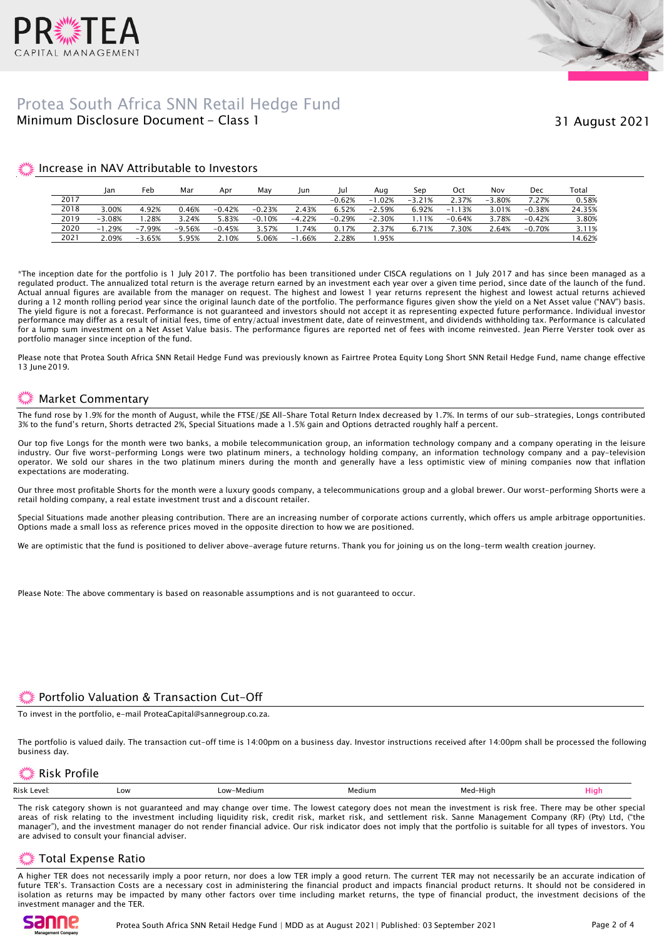



# Minimum Disclosure Document - Class 1 Protea South Africa SNN Retail Hedge Fund

### Increase in NAV Attributable to Investors

|      | lan          | Feb      | Mar      | Apr      | Mav      | Jun      | Jul      | Aua          | Sep      | Oct           | Nov      | Dec      | Total  |
|------|--------------|----------|----------|----------|----------|----------|----------|--------------|----------|---------------|----------|----------|--------|
| 2017 |              |          |          |          |          |          | $-0.62%$ | .02%<br>$-1$ | $-3.21%$ | 2.37%         | $-3.80%$ | 7.27%    | 0.58%  |
| 2018 | 3.00%        | 4.92%    | 0.46%    | $-0.42%$ | $-0.23%$ | 2.43%    | 6.52%    | $-2.59%$     | 6.92%    | 1.13%<br>$-1$ | 3.01%    | $-0.38%$ | 24.35% |
| 2019 | $-3.08%$     | .28%     | 3.24%    | 5.83%    | $-0.10%$ | $-4.22%$ | $-0.29%$ | $-2.30%$     | ` 1%     | $-0.64%$      | 3.78%    | $-0.42%$ | 3.80%  |
| 2020 | .29%<br>$-1$ | $-7.99%$ | $-9.56%$ | $-0.45%$ | 3.57%    | .74%     | 0.17%    | 2.37%        | 6.71%    | .30%          | 2.64%    | $-0.70%$ | 3.11%  |
| 2021 | 2.09%        | $-3.65%$ | 5.95%    | 2.10%    | 5.06%    | $-1.66%$ | 2.28%    | .95%         |          |               |          |          | 14.62% |

\*The inception date for the portfolio is 1 July 2017. The portfolio has been transitioned under CISCA regulations on 1 July 2017 and has since been managed as a regulated product. The annualized total return is the average return earned by an investment each year over a given time period, since date of the launch of the fund. Actual annual figures are available from the manager on request. The highest and lowest 1 year returns represent the highest and lowest actual returns achieved during a 12 month rolling period year since the original launch date of the portfolio. The performance figures given show the yield on a Net Asset value ("NAV") basis. The yield figure is not a forecast. Performance is not guaranteed and investors should not accept it as representing expected future performance. Individual investor performance may differ as a result of initial fees, time of entry/actual investment date, date of reinvestment, and dividends withholding tax. Performance is calculated for a lump sum investment on a Net Asset Value basis. The performance figures are reported net of fees with income reinvested. Jean Pierre Verster took over as portfolio manager since inception of the fund.

Please note that Protea South Africa SNN Retail Hedge Fund was previously known as Fairtree Protea Equity Long Short SNN Retail Hedge Fund, name change effective 13 June 2019.

# Market Commentary

The fund rose by 1.9% for the month of August, while the FTSE/JSE All-Share Total Return Index decreased by 1.7%. In terms of our sub-strategies, Longs contributed 3% to the fund's return, Shorts detracted 2%, Special Situations made a 1.5% gain and Options detracted roughly half a percent.

Our top five Longs for the month were two banks, a mobile telecommunication group, an information technology company and a company operating in the leisure industry. Our five worst-performing Longs were two platinum miners, a technology holding company, an information technology company and a pay-television operator. We sold our shares in the two platinum miners during the month and generally have a less optimistic view of mining companies now that inflation expectations are moderating.

Our three most profitable Shorts for the month were a luxury goods company, a telecommunications group and a global brewer. Our worst-performing Shorts were a retail holding company, a real estate investment trust and a discount retailer.

Special Situations made another pleasing contribution. There are an increasing number of corporate actions currently, which offers us ample arbitrage opportunities. Options made a small loss as reference prices moved in the opposite direction to how we are positioned.

We are optimistic that the fund is positioned to deliver above-average future returns. Thank you for joining us on the long-term wealth creation journey.

Please Note: The above commentary is based on reasonable assumptions and is not guaranteed to occur.

# Portfolio Valuation & Transaction Cut-Off

To invest in the portfolio, e-mail ProteaCapital@sannegroup.co.za.

The portfolio is valued daily. The transaction cut-off time is 14:00pm on a business day. Investor instructions received after 14:00pm shall be processed the following business day.

### Risk Profile

|--|

The risk category shown is not guaranteed and may change over time. The lowest category does not mean the investment is risk free. There may be other special areas of risk relating to the investment including liquidity risk, credit risk, market risk, and settlement risk. Sanne Management Company (RF) (Pty) Ltd, ("the manager"), and the investment manager do not render financial advice. Our risk indicator does not imply that the portfolio is suitable for all types of investors. You are advised to consult your financial adviser.

### Total Expense Ratio

A higher TER does not necessarily imply a poor return, nor does a low TER imply a good return. The current TER may not necessarily be an accurate indication of future TER's. Transaction Costs are a necessary cost in administering the financial product and impacts financial product returns. It should not be considered in isolation as returns may be impacted by many other factors over time including market returns, the type of financial product, the investment decisions of the investment manager and the TER.

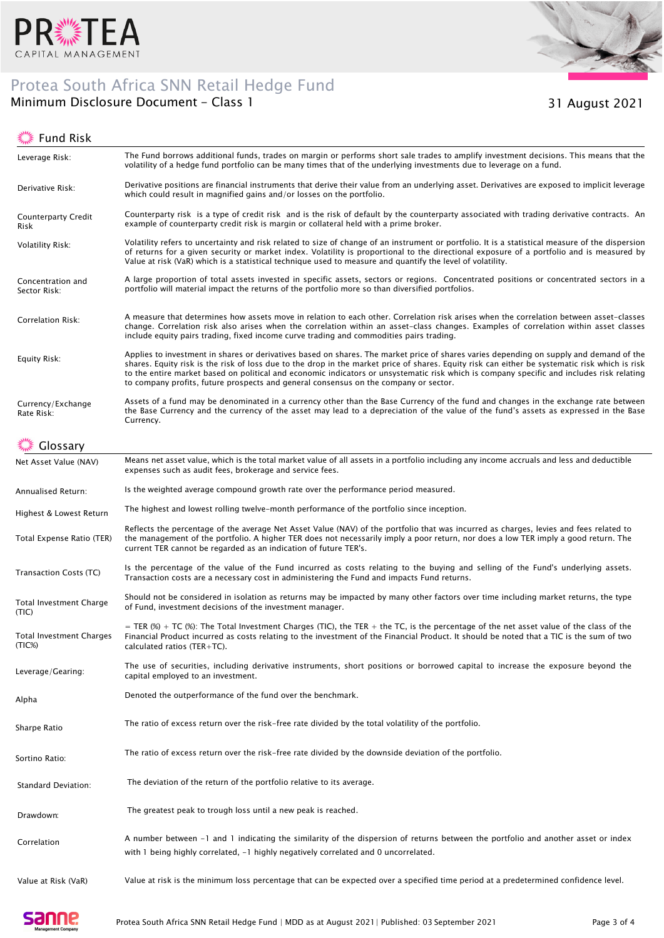

# Protea South Africa SNN Retail Hedge Fund



Minimum Disclosure Document - Class 1 31 August 2021

## ूं Fund Risk

| Leverage Risk:                     | The Fund borrows additional funds, trades on margin or performs short sale trades to amplify investment decisions. This means that the<br>volatility of a hedge fund portfolio can be many times that of the underlying investments due to leverage on a fund.                                                                                                                                                                                                                                                                 |
|------------------------------------|--------------------------------------------------------------------------------------------------------------------------------------------------------------------------------------------------------------------------------------------------------------------------------------------------------------------------------------------------------------------------------------------------------------------------------------------------------------------------------------------------------------------------------|
| Derivative Risk:                   | Derivative positions are financial instruments that derive their value from an underlying asset. Derivatives are exposed to implicit leverage<br>which could result in magnified gains and/or losses on the portfolio.                                                                                                                                                                                                                                                                                                         |
| <b>Counterparty Credit</b><br>Risk | Counterparty risk is a type of credit risk and is the risk of default by the counterparty associated with trading derivative contracts. An<br>example of counterparty credit risk is margin or collateral held with a prime broker.                                                                                                                                                                                                                                                                                            |
| Volatility Risk:                   | Volatility refers to uncertainty and risk related to size of change of an instrument or portfolio. It is a statistical measure of the dispersion<br>of returns for a given security or market index. Volatility is proportional to the directional exposure of a portfolio and is measured by<br>Value at risk (VaR) which is a statistical technique used to measure and quantify the level of volatility.                                                                                                                    |
| Concentration and<br>Sector Risk:  | A large proportion of total assets invested in specific assets, sectors or regions. Concentrated positions or concentrated sectors in a<br>portfolio will material impact the returns of the portfolio more so than diversified portfolios.                                                                                                                                                                                                                                                                                    |
| Correlation Risk:                  | A measure that determines how assets move in relation to each other. Correlation risk arises when the correlation between asset-classes<br>change. Correlation risk also arises when the correlation within an asset-class changes. Examples of correlation within asset classes<br>include equity pairs trading, fixed income curve trading and commodities pairs trading.                                                                                                                                                    |
| Equity Risk:                       | Applies to investment in shares or derivatives based on shares. The market price of shares varies depending on supply and demand of the<br>shares. Equity risk is the risk of loss due to the drop in the market price of shares. Equity risk can either be systematic risk which is risk<br>to the entire market based on political and economic indicators or unsystematic risk which is company specific and includes risk relating<br>to company profits, future prospects and general consensus on the company or sector. |
| Currency/Exchange<br>Rate Risk:    | Assets of a fund may be denominated in a currency other than the Base Currency of the fund and changes in the exchange rate between<br>the Base Currency and the currency of the asset may lead to a depreciation of the value of the fund's assets as expressed in the Base<br>Currency.                                                                                                                                                                                                                                      |
| Glossary                           |                                                                                                                                                                                                                                                                                                                                                                                                                                                                                                                                |
| Net Asset Value (NAV)              | Means net asset value, which is the total market value of all assets in a portfolio including any income accruals and less and deductible<br>expenses such as audit fees, brokerage and service fees.                                                                                                                                                                                                                                                                                                                          |
| Annualised Return:                 | Is the weighted average compound growth rate over the performance period measured.                                                                                                                                                                                                                                                                                                                                                                                                                                             |
| Highest & Lowest Return            | The highest and lowest rolling twelve-month performance of the portfolio since inception.                                                                                                                                                                                                                                                                                                                                                                                                                                      |
| Total Expense Ratio (TER)          | Reflects the percentage of the average Net Asset Value (NAV) of the portfolio that was incurred as charges, levies and fees related to<br>the management of the portfolio. A higher TER does not necessarily imply a poor return, nor does a low TER imply a good return. The<br>current TER cannot be regarded as an indication of future TER's.                                                                                                                                                                              |
| Transaction Costs (TC)             | Is the percentage of the value of the Fund incurred as costs relating to the buying and selling of the Fund's underlying assets.<br>Transaction costs are a necessary cost in administering the Fund and impacts Fund returns.                                                                                                                                                                                                                                                                                                 |
| Total Investment Charge<br>(TIC)   | Should not be considered in isolation as returns may be impacted by many other factors over time including market returns, the type<br>of Fund, investment decisions of the investment manager.                                                                                                                                                                                                                                                                                                                                |
| Total Investment Charges<br>(TIC%) | = TER (%) + TC (%): The Total Investment Charges (TIC), the TER + the TC, is the percentage of the net asset value of the class of the<br>Financial Product incurred as costs relating to the investment of the Financial Product. It should be noted that a TIC is the sum of two<br>calculated ratios $(TER+TC)$ .                                                                                                                                                                                                           |
| Leverage/Gearing:                  | The use of securities, including derivative instruments, short positions or borrowed capital to increase the exposure beyond the<br>capital employed to an investment.                                                                                                                                                                                                                                                                                                                                                         |
| Alpha                              | Denoted the outperformance of the fund over the benchmark.                                                                                                                                                                                                                                                                                                                                                                                                                                                                     |
| Sharpe Ratio                       | The ratio of excess return over the risk-free rate divided by the total volatility of the portfolio.                                                                                                                                                                                                                                                                                                                                                                                                                           |
| Sortino Ratio:                     | The ratio of excess return over the risk-free rate divided by the downside deviation of the portfolio.                                                                                                                                                                                                                                                                                                                                                                                                                         |
| Standard Deviation:                | The deviation of the return of the portfolio relative to its average.                                                                                                                                                                                                                                                                                                                                                                                                                                                          |
| Drawdown:                          | The greatest peak to trough loss until a new peak is reached.                                                                                                                                                                                                                                                                                                                                                                                                                                                                  |
| Correlation                        | A number between -1 and 1 indicating the similarity of the dispersion of returns between the portfolio and another asset or index<br>with 1 being highly correlated, $-1$ highly negatively correlated and 0 uncorrelated.                                                                                                                                                                                                                                                                                                     |
| Value at Risk (VaR)                | Value at risk is the minimum loss percentage that can be expected over a specified time period at a predetermined confidence level.                                                                                                                                                                                                                                                                                                                                                                                            |